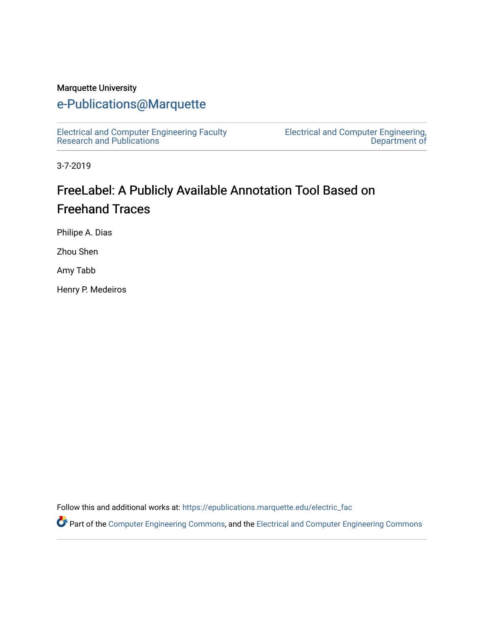#### Marquette University

# [e-Publications@Marquette](https://epublications.marquette.edu/)

[Electrical and Computer Engineering Faculty](https://epublications.marquette.edu/electric_fac) [Research and Publications](https://epublications.marquette.edu/electric_fac) 

[Electrical and Computer Engineering,](https://epublications.marquette.edu/electric)  [Department of](https://epublications.marquette.edu/electric) 

3-7-2019

# FreeLabel: A Publicly Available Annotation Tool Based on Freehand Traces

Philipe A. Dias

Zhou Shen

Amy Tabb

Henry P. Medeiros

Follow this and additional works at: [https://epublications.marquette.edu/electric\\_fac](https://epublications.marquette.edu/electric_fac?utm_source=epublications.marquette.edu%2Felectric_fac%2F535&utm_medium=PDF&utm_campaign=PDFCoverPages) 

Part of the [Computer Engineering Commons,](http://network.bepress.com/hgg/discipline/258?utm_source=epublications.marquette.edu%2Felectric_fac%2F535&utm_medium=PDF&utm_campaign=PDFCoverPages) and the [Electrical and Computer Engineering Commons](http://network.bepress.com/hgg/discipline/266?utm_source=epublications.marquette.edu%2Felectric_fac%2F535&utm_medium=PDF&utm_campaign=PDFCoverPages)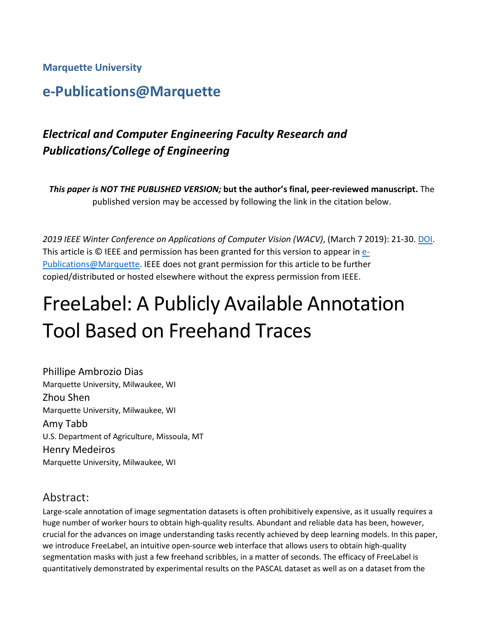**Marquette University**

# **e-Publications@Marquette**

# *Electrical and Computer Engineering Faculty Research and Publications/College of Engineering*

*This paper is NOT THE PUBLISHED VERSION;* **but the author's final, peer-reviewed manuscript.** The published version may be accessed by following the link in the citation below.

*2019 IEEE Winter Conference on Applications of Computer Vision (WACV)*, (March 7 2019): 21-30. [DOI.](https://ieeexplore.ieee.org/document/8659167/references) This article is © IEEE and permission has been granted for this version to appear in [e-](http://epublications.marquette.edu/)[Publications@Marquette.](http://epublications.marquette.edu/) IEEE does not grant permission for this article to be further copied/distributed or hosted elsewhere without the express permission from IEEE.

# FreeLabel: A Publicly Available Annotation Tool Based on Freehand Traces

Phillipe Ambrozio Dias Marquette University, Milwaukee, WI Zhou Shen Marquette University, Milwaukee, WI Amy Tabb U.S. Department of Agriculture, Missoula, MT Henry Medeiros Marquette University, Milwaukee, WI

## Abstract:

Large-scale annotation of image segmentation datasets is often prohibitively expensive, as it usually requires a huge number of worker hours to obtain high-quality results. Abundant and reliable data has been, however, crucial for the advances on image understanding tasks recently achieved by deep learning models. In this paper, we introduce FreeLabel, an intuitive open-source web interface that allows users to obtain high-quality segmentation masks with just a few freehand scribbles, in a matter of seconds. The efficacy of FreeLabel is quantitatively demonstrated by experimental results on the PASCAL dataset as well as on a dataset from the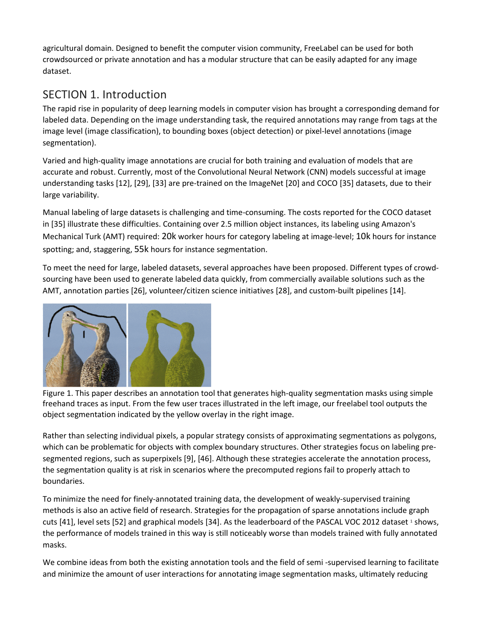agricultural domain. Designed to benefit the computer vision community, FreeLabel can be used for both crowdsourced or private annotation and has a modular structure that can be easily adapted for any image dataset.

# SECTION 1. Introduction

The rapid rise in popularity of deep learning models in computer vision has brought a corresponding demand for labeled data. Depending on the image understanding task, the required annotations may range from tags at the image level (image classification), to bounding boxes (object detection) or pixel-level annotations (image segmentation).

Varied and high-quality image annotations are crucial for both training and evaluation of models that are accurate and robust. Currently, most of the Convolutional Neural Network (CNN) models successful at image understanding tasks [12], [29], [33] are pre-trained on the ImageNet [20] and COCO [35] datasets, due to their large variability.

Manual labeling of large datasets is challenging and time-consuming. The costs reported for the COCO dataset in [35] illustrate these difficulties. Containing over 2.5 million object instances, its labeling using Amazon's Mechanical Turk (AMT) required: 20k worker hours for category labeling at image-level; 10k hours for instance spotting; and, staggering, 55k hours for instance segmentation.

To meet the need for large, labeled datasets, several approaches have been proposed. Different types of crowdsourcing have been used to generate labeled data quickly, from commercially available solutions such as the AMT, annotation parties [26], volunteer/citizen science initiatives [28], and custom-built pipelines [14].



Figure 1. This paper describes an annotation tool that generates high-quality segmentation masks using simple freehand traces as input. From the few user traces illustrated in the left image, our freelabel tool outputs the object segmentation indicated by the yellow overlay in the right image.

Rather than selecting individual pixels, a popular strategy consists of approximating segmentations as polygons, which can be problematic for objects with complex boundary structures. Other strategies focus on labeling presegmented regions, such as superpixels [9], [46]. Although these strategies accelerate the annotation process, the segmentation quality is at risk in scenarios where the precomputed regions fail to properly attach to boundaries.

To minimize the need for finely-annotated training data, the development of weakly-supervised training methods is also an active field of research. Strategies for the propagation of sparse annotations include graph cuts [41], level sets [52] and graphical models [34]. As the leaderboard of the PASCAL VOC 2012 dataset 1 shows, the performance of models trained in this way is still noticeably worse than models trained with fully annotated masks.

We combine ideas from both the existing annotation tools and the field of semi -supervised learning to facilitate and minimize the amount of user interactions for annotating image segmentation masks, ultimately reducing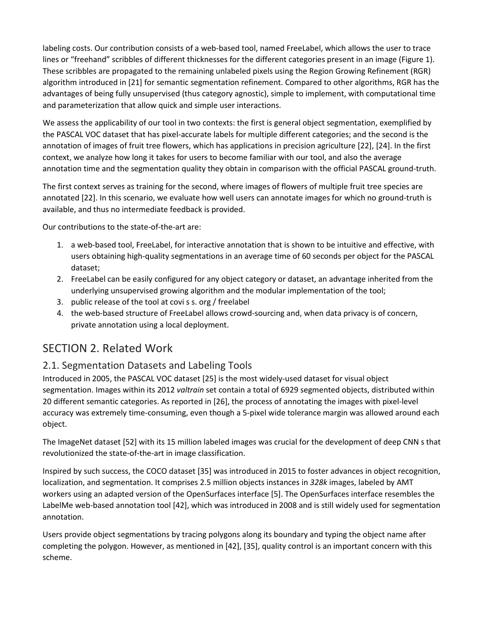labeling costs. Our contribution consists of a web-based tool, named FreeLabel, which allows the user to trace lines or "freehand" scribbles of different thicknesses for the different categories present in an image (Figure 1). These scribbles are propagated to the remaining unlabeled pixels using the Region Growing Refinement (RGR) algorithm introduced in [21] for semantic segmentation refinement. Compared to other algorithms, RGR has the advantages of being fully unsupervised (thus category agnostic), simple to implement, with computational time and parameterization that allow quick and simple user interactions.

We assess the applicability of our tool in two contexts: the first is general object segmentation, exemplified by the PASCAL VOC dataset that has pixel-accurate labels for multiple different categories; and the second is the annotation of images of fruit tree flowers, which has applications in precision agriculture [22], [24]. In the first context, we analyze how long it takes for users to become familiar with our tool, and also the average annotation time and the segmentation quality they obtain in comparison with the official PASCAL ground-truth.

The first context serves as training for the second, where images of flowers of multiple fruit tree species are annotated [22]. In this scenario, we evaluate how well users can annotate images for which no ground-truth is available, and thus no intermediate feedback is provided.

Our contributions to the state-of-the-art are:

- 1. a web-based tool, FreeLabel, for interactive annotation that is shown to be intuitive and effective, with users obtaining high-quality segmentations in an average time of 60 seconds per object for the PASCAL dataset;
- 2. FreeLabel can be easily configured for any object category or dataset, an advantage inherited from the underlying unsupervised growing algorithm and the modular implementation of the tool;
- 3. public release of the tool at covi s s. org / freelabel
- 4. the web-based structure of FreeLabel allows crowd-sourcing and, when data privacy is of concern, private annotation using a local deployment.

## SECTION 2. Related Work

#### 2.1. Segmentation Datasets and Labeling Tools

Introduced in 2005, the PASCAL VOC dataset [25] is the most widely-used dataset for visual object segmentation. Images within its 2012 *valtrain* set contain a total of 6929 segmented objects, distributed within 20 different semantic categories. As reported in [26], the process of annotating the images with pixel-level accuracy was extremely time-consuming, even though a 5-pixel wide tolerance margin was allowed around each object.

The ImageNet dataset [52] with its 15 million labeled images was crucial for the development of deep CNN s that revolutionized the state-of-the-art in image classification.

Inspired by such success, the COCO dataset [35] was introduced in 2015 to foster advances in object recognition, localization, and segmentation. It comprises 2.5 million objects instances in *328k* images, labeled by AMT workers using an adapted version of the OpenSurfaces interface [5]. The OpenSurfaces interface resembles the LabelMe web-based annotation tool [42], which was introduced in 2008 and is still widely used for segmentation annotation.

Users provide object segmentations by tracing polygons along its boundary and typing the object name after completing the polygon. However, as mentioned in [42], [35], quality control is an important concern with this scheme.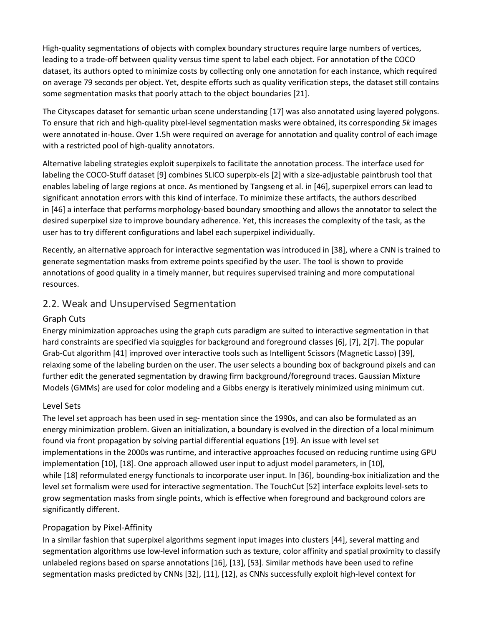High-quality segmentations of objects with complex boundary structures require large numbers of vertices, leading to a trade-off between quality versus time spent to label each object. For annotation of the COCO dataset, its authors opted to minimize costs by collecting only one annotation for each instance, which required on average 79 seconds per object. Yet, despite efforts such as quality verification steps, the dataset still contains some segmentation masks that poorly attach to the object boundaries [21].

The Cityscapes dataset for semantic urban scene understanding [17] was also annotated using layered polygons. To ensure that rich and high-quality pixel-level segmentation masks were obtained, its corresponding *5k* images were annotated in-house. Over 1.5h were required on average for annotation and quality control of each image with a restricted pool of high-quality annotators.

Alternative labeling strategies exploit superpixels to facilitate the annotation process. The interface used for labeling the COCO-Stuff dataset [9] combines SLICO superpix-els [2] with a size-adjustable paintbrush tool that enables labeling of large regions at once. As mentioned by Tangseng et al. in [46], superpixel errors can lead to significant annotation errors with this kind of interface. To minimize these artifacts, the authors described in [46] a interface that performs morphology-based boundary smoothing and allows the annotator to select the desired superpixel size to improve boundary adherence. Yet, this increases the complexity of the task, as the user has to try different configurations and label each superpixel individually.

Recently, an alternative approach for interactive segmentation was introduced in [38], where a CNN is trained to generate segmentation masks from extreme points specified by the user. The tool is shown to provide annotations of good quality in a timely manner, but requires supervised training and more computational resources.

#### 2.2. Weak and Unsupervised Segmentation

#### Graph Cuts

Energy minimization approaches using the graph cuts paradigm are suited to interactive segmentation in that hard constraints are specified via squiggles for background and foreground classes [6], [7], 2[7]. The popular Grab-Cut algorithm [41] improved over interactive tools such as Intelligent Scissors (Magnetic Lasso) [39], relaxing some of the labeling burden on the user. The user selects a bounding box of background pixels and can further edit the generated segmentation by drawing firm background/foreground traces. Gaussian Mixture Models (GMMs) are used for color modeling and a Gibbs energy is iteratively minimized using minimum cut.

#### Level Sets

The level set approach has been used in seg- mentation since the 1990s, and can also be formulated as an energy minimization problem. Given an initialization, a boundary is evolved in the direction of a local minimum found via front propagation by solving partial differential equations [19]. An issue with level set implementations in the 2000s was runtime, and interactive approaches focused on reducing runtime using GPU implementation [10], [18]. One approach allowed user input to adjust model parameters, in [10], while [18] reformulated energy functionals to incorporate user input. In [36], bounding-box initialization and the level set formalism were used for interactive segmentation. The TouchCut [52] interface exploits level-sets to grow segmentation masks from single points, which is effective when foreground and background colors are significantly different.

#### Propagation by Pixel-Affinity

In a similar fashion that superpixel algorithms segment input images into clusters [44], several matting and segmentation algorithms use low-level information such as texture, color affinity and spatial proximity to classify unlabeled regions based on sparse annotations [16], [13], [53]. Similar methods have been used to refine segmentation masks predicted by CNNs [32], [11], [12], as CNNs successfully exploit high-level context for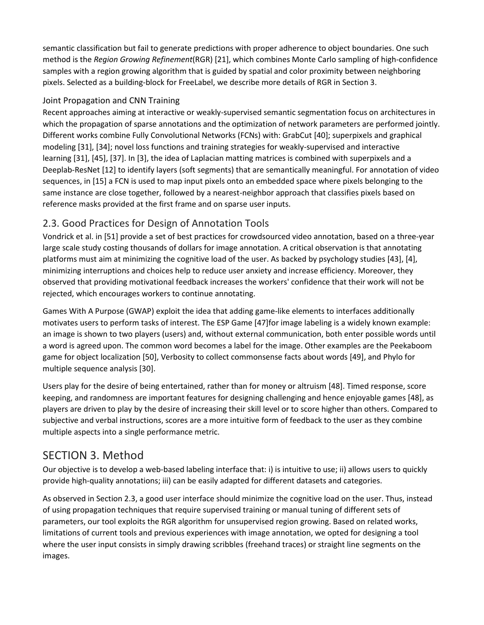semantic classification but fail to generate predictions with proper adherence to object boundaries. One such method is the *Region Growing Refinement*(RGR) [21], which combines Monte Carlo sampling of high-confidence samples with a region growing algorithm that is guided by spatial and color proximity between neighboring pixels. Selected as a building-block for FreeLabel, we describe more details of RGR in Section 3.

#### Joint Propagation and CNN Training

Recent approaches aiming at interactive or weakly-supervised semantic segmentation focus on architectures in which the propagation of sparse annotations and the optimization of network parameters are performed jointly. Different works combine Fully Convolutional Networks (FCNs) with: GrabCut [40]; superpixels and graphical modeling [31], [34]; novel loss functions and training strategies for weakly-supervised and interactive learning [31], [45], [37]. In [3], the idea of Laplacian matting matrices is combined with superpixels and a Deeplab-ResNet [12] to identify layers (soft segments) that are semantically meaningful. For annotation of video sequences, in [15] a FCN is used to map input pixels onto an embedded space where pixels belonging to the same instance are close together, followed by a nearest-neighbor approach that classifies pixels based on reference masks provided at the first frame and on sparse user inputs.

### 2.3. Good Practices for Design of Annotation Tools

Vondrick et al. in [51] provide a set of best practices for crowdsourced video annotation, based on a three-year large scale study costing thousands of dollars for image annotation. A critical observation is that annotating platforms must aim at minimizing the cognitive load of the user. As backed by psychology studies [43], [4], minimizing interruptions and choices help to reduce user anxiety and increase efficiency. Moreover, they observed that providing motivational feedback increases the workers' confidence that their work will not be rejected, which encourages workers to continue annotating.

Games With A Purpose (GWAP) exploit the idea that adding game-like elements to interfaces additionally motivates users to perform tasks of interest. The ESP Game [47]for image labeling is a widely known example: an image is shown to two players (users) and, without external communication, both enter possible words until a word is agreed upon. The common word becomes a label for the image. Other examples are the Peekaboom game for object localization [50], Verbosity to collect commonsense facts about words [49], and Phylo for multiple sequence analysis [30].

Users play for the desire of being entertained, rather than for money or altruism [48]. Timed response, score keeping, and randomness are important features for designing challenging and hence enjoyable games [48], as players are driven to play by the desire of increasing their skill level or to score higher than others. Compared to subjective and verbal instructions, scores are a more intuitive form of feedback to the user as they combine multiple aspects into a single performance metric.

## SECTION 3. Method

Our objective is to develop a web-based labeling interface that: i) is intuitive to use; ii) allows users to quickly provide high-quality annotations; iii) can be easily adapted for different datasets and categories.

As observed in Section 2.3, a good user interface should minimize the cognitive load on the user. Thus, instead of using propagation techniques that require supervised training or manual tuning of different sets of parameters, our tool exploits the RGR algorithm for unsupervised region growing. Based on related works, limitations of current tools and previous experiences with image annotation, we opted for designing a tool where the user input consists in simply drawing scribbles (freehand traces) or straight line segments on the images.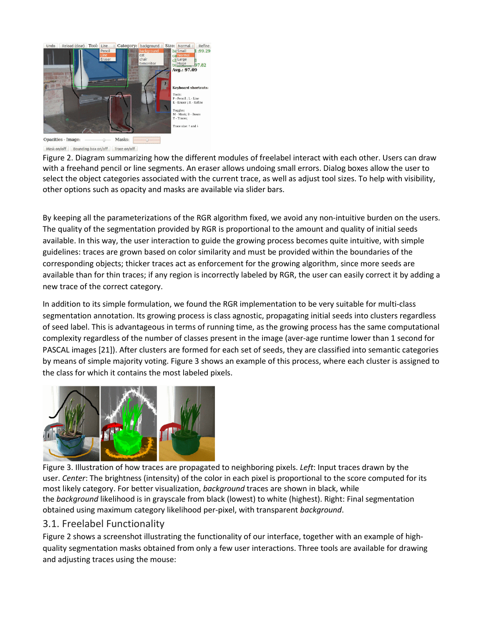

Mask on/off Bounding box on/off Trace on/off

Figure 2. Diagram summarizing how the different modules of freelabel interact with each other. Users can draw with a freehand pencil or line segments. An eraser allows undoing small errors. Dialog boxes allow the user to select the object categories associated with the current trace, as well as adjust tool sizes. To help with visibility, other options such as opacity and masks are available via slider bars.

By keeping all the parameterizations of the RGR algorithm fixed, we avoid any non-intuitive burden on the users. The quality of the segmentation provided by RGR is proportional to the amount and quality of initial seeds available. In this way, the user interaction to guide the growing process becomes quite intuitive, with simple guidelines: traces are grown based on color similarity and must be provided within the boundaries of the corresponding objects; thicker traces act as enforcement for the growing algorithm, since more seeds are available than for thin traces; if any region is incorrectly labeled by RGR, the user can easily correct it by adding a new trace of the correct category.

In addition to its simple formulation, we found the RGR implementation to be very suitable for multi-class segmentation annotation. Its growing process is class agnostic, propagating initial seeds into clusters regardless of seed label. This is advantageous in terms of running time, as the growing process has the same computational complexity regardless of the number of classes present in the image (aver-age runtime lower than 1 second for PASCAL images [21]). After clusters are formed for each set of seeds, they are classified into semantic categories by means of simple majority voting. Figure 3 shows an example of this process, where each cluster is assigned to the class for which it contains the most labeled pixels.



Figure 3. Illustration of how traces are propagated to neighboring pixels. *Left*: Input traces drawn by the user. *Center*: The brightness (intensity) of the color in each pixel is proportional to the score computed for its most likely category. For better visualization, *background* traces are shown in black, while the *background* likelihood is in grayscale from black (lowest) to white (highest). Right: Final segmentation obtained using maximum category likelihood per-pixel, with transparent *background*.

#### 3.1. Freelabel Functionality

Figure 2 shows a screenshot illustrating the functionality of our interface, together with an example of highquality segmentation masks obtained from only a few user interactions. Three tools are available for drawing and adjusting traces using the mouse: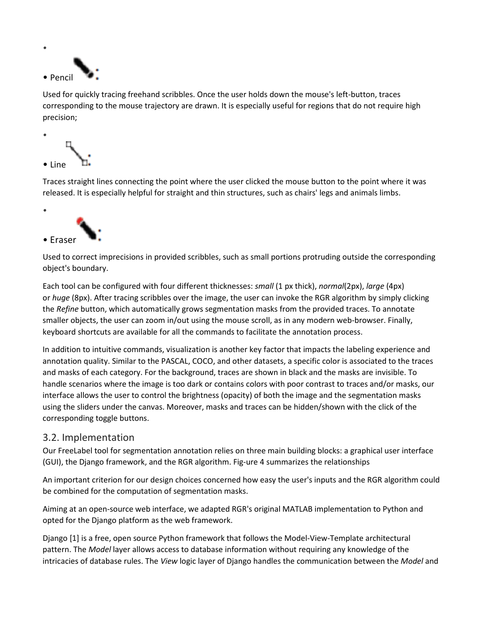

Used for quickly tracing freehand scribbles. Once the user holds down the mouse's left-button, traces corresponding to the mouse trajectory are drawn. It is especially useful for regions that do not require high precision;



Traces straight lines connecting the point where the user clicked the mouse button to the point where it was released. It is especially helpful for straight and thin structures, such as chairs' legs and animals limbs.



Used to correct imprecisions in provided scribbles, such as small portions protruding outside the corresponding object's boundary.

Each tool can be configured with four different thicknesses: *small* (1 px thick), *normal*(2px), *large* (4px) or *huge* (8px). After tracing scribbles over the image, the user can invoke the RGR algorithm by simply clicking the *Refine* button, which automatically grows segmentation masks from the provided traces. To annotate smaller objects, the user can zoom in/out using the mouse scroll, as in any modern web-browser. Finally, keyboard shortcuts are available for all the commands to facilitate the annotation process.

In addition to intuitive commands, visualization is another key factor that impacts the labeling experience and annotation quality. Similar to the PASCAL, COCO, and other datasets, a specific color is associated to the traces and masks of each category. For the background, traces are shown in black and the masks are invisible. To handle scenarios where the image is too dark or contains colors with poor contrast to traces and/or masks, our interface allows the user to control the brightness (opacity) of both the image and the segmentation masks using the sliders under the canvas. Moreover, masks and traces can be hidden/shown with the click of the corresponding toggle buttons.

#### 3.2. Implementation

Our FreeLabel tool for segmentation annotation relies on three main building blocks: a graphical user interface (GUI), the Django framework, and the RGR algorithm. Fig-ure 4 summarizes the relationships

An important criterion for our design choices concerned how easy the user's inputs and the RGR algorithm could be combined for the computation of segmentation masks.

Aiming at an open-source web interface, we adapted RGR's original MATLAB implementation to Python and opted for the Django platform as the web framework.

Django [1] is a free, open source Python framework that follows the Model-View-Template architectural pattern. The *Model* layer allows access to database information without requiring any knowledge of the intricacies of database rules. The *View* logic layer of Django handles the communication between the *Model* and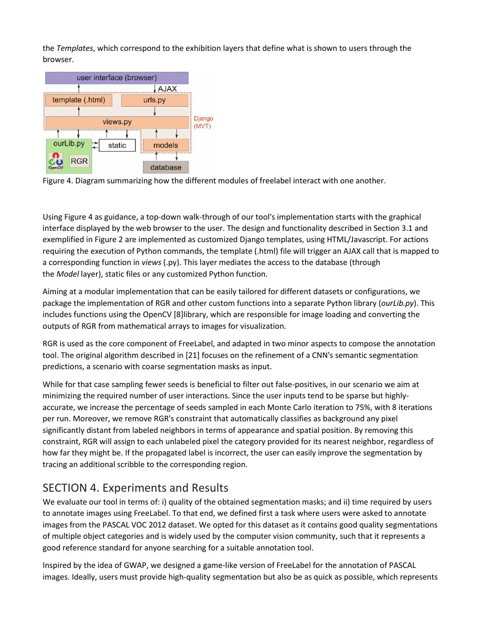the *Templates*, which correspond to the exhibition layers that define what is shown to users through the browser.



Figure 4. Diagram summarizing how the different modules of freelabel interact with one another.

Using Figure 4 as guidance, a top-down walk-through of our tool's implementation starts with the graphical interface displayed by the web browser to the user. The design and functionality described in Section 3.1 and exemplified in Figure 2 are implemented as customized Django templates, using HTML/Javascript. For actions requiring the execution of Python commands, the template (.html) file will trigger an AJAX call that is mapped to a corresponding function in *views* (.py). This layer mediates the access to the database (through the *Model* layer), static files or any customized Python function.

Aiming at a modular implementation that can be easily tailored for different datasets or configurations, we package the implementation of RGR and other custom functions into a separate Python library (*ourLib.py*). This includes functions using the OpenCV [8]library, which are responsible for image loading and converting the outputs of RGR from mathematical arrays to images for visualization.

RGR is used as the core component of FreeLabel, and adapted in two minor aspects to compose the annotation tool. The original algorithm described in [21] focuses on the refinement of a CNN's semantic segmentation predictions, a scenario with coarse segmentation masks as input.

While for that case sampling fewer seeds is beneficial to filter out false-positives, in our scenario we aim at minimizing the required number of user interactions. Since the user inputs tend to be sparse but highlyaccurate, we increase the percentage of seeds sampled in each Monte Carlo iteration to 75%, with 8 iterations per run. Moreover, we remove RGR's constraint that automatically classifies as background any pixel significantly distant from labeled neighbors in terms of appearance and spatial position. By removing this constraint, RGR will assign to each unlabeled pixel the category provided for its nearest neighbor, regardless of how far they might be. If the propagated label is incorrect, the user can easily improve the segmentation by tracing an additional scribble to the corresponding region.

# SECTION 4. Experiments and Results

We evaluate our tool in terms of: i) quality of the obtained segmentation masks; and ii) time required by users to annotate images using FreeLabel. To that end, we defined first a task where users were asked to annotate images from the PASCAL VOC 2012 dataset. We opted for this dataset as it contains good quality segmentations of multiple object categories and is widely used by the computer vision community, such that it represents a good reference standard for anyone searching for a suitable annotation tool.

Inspired by the idea of GWAP, we designed a game-like version of FreeLabel for the annotation of PASCAL images. Ideally, users must provide high-quality segmentation but also be as quick as possible, which represents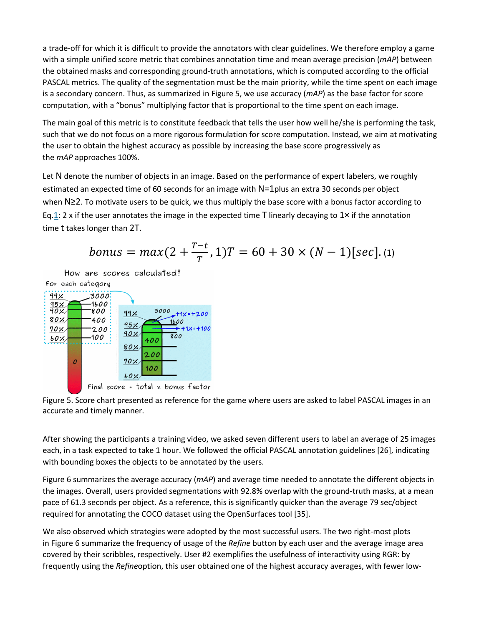a trade-off for which it is difficult to provide the annotators with clear guidelines. We therefore employ a game with a simple unified score metric that combines annotation time and mean average precision (*mAP*) between the obtained masks and corresponding ground-truth annotations, which is computed according to the official PASCAL metrics. The quality of the segmentation must be the main priority, while the time spent on each image is a secondary concern. Thus, as summarized in Figure 5, we use accuracy (*mAP*) as the base factor for score computation, with a "bonus" multiplying factor that is proportional to the time spent on each image.

The main goal of this metric is to constitute feedback that tells the user how well he/she is performing the task, such that we do not focus on a more rigorous formulation for score computation. Instead, we aim at motivating the user to obtain the highest accuracy as possible by increasing the base score progressively as the *mAP* approaches 100%.

Let N denote the number of objects in an image. Based on the performance of expert labelers, we roughly estimated an expected time of 60 seconds for an image with N=1plus an extra 30 seconds per object when N≥2. To motivate users to be quick, we thus multiply the base score with a bonus factor according to Eq[.1:](https://ieeexplore.ieee.org/document/#deqn1) 2 x if the user annotates the image in the expected time T linearly decaying to  $1 \times$  if the annotation time t takes longer than 2T.

*bonus* = 
$$
max(2 + \frac{T-t}{T}, 1)T = 60 + 30 \times (N - 1)[sec]
$$
. (1)

How are scores calculated?



Figure 5. Score chart presented as reference for the game where users are asked to label PASCAL images in an accurate and timely manner.

After showing the participants a training video, we asked seven different users to label an average of 25 images each, in a task expected to take 1 hour. We followed the official PASCAL annotation guidelines [26], indicating with bounding boxes the objects to be annotated by the users.

Figure 6 summarizes the average accuracy (*mAP*) and average time needed to annotate the different objects in the images. Overall, users provided segmentations with 92.8% overlap with the ground-truth masks, at a mean pace of 61.3 seconds per object. As a reference, this is significantly quicker than the average 79 sec/object required for annotating the COCO dataset using the OpenSurfaces tool [35].

We also observed which strategies were adopted by the most successful users. The two right-most plots in Figure 6 summarize the frequency of usage of the *Refine* button by each user and the average image area covered by their scribbles, respectively. User #2 exemplifies the usefulness of interactivity using RGR: by frequently using the *Refine*option, this user obtained one of the highest accuracy averages, with fewer low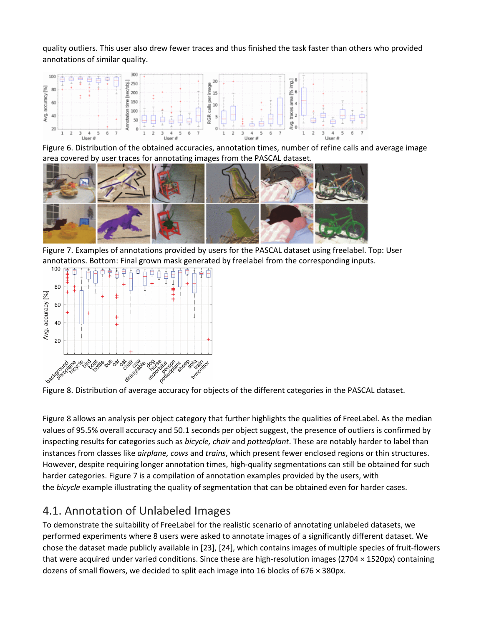quality outliers. This user also drew fewer traces and thus finished the task faster than others who provided annotations of similar quality.



Figure 6. Distribution of the obtained accuracies, annotation times, number of refine calls and average image area covered by user traces for annotating images from the PASCAL dataset.



Figure 7. Examples of annotations provided by users for the PASCAL dataset using freelabel. Top: User annotations. Bottom: Final grown mask generated by freelabel from the corresponding inputs.<br> $100$  Fell AAAAAAA DIALAAAIAAAIA



Figure 8. Distribution of average accuracy for objects of the different categories in the PASCAL dataset.

Figure 8 allows an analysis per object category that further highlights the qualities of FreeLabel. As the median values of 95.5% overall accuracy and 50.1 seconds per object suggest, the presence of outliers is confirmed by inspecting results for categories such as *bicycle, chair* and *pottedplant*. These are notably harder to label than instances from classes like *airplane, cows* and *trains*, which present fewer enclosed regions or thin structures. However, despite requiring longer annotation times, high-quality segmentations can still be obtained for such harder categories. Figure 7 is a compilation of annotation examples provided by the users, with the *bicycle* example illustrating the quality of segmentation that can be obtained even for harder cases.

## 4.1. Annotation of Unlabeled Images

To demonstrate the suitability of FreeLabel for the realistic scenario of annotating unlabeled datasets, we performed experiments where 8 users were asked to annotate images of a significantly different dataset. We chose the dataset made publicly available in [23], [24], which contains images of multiple species of fruit-flowers that were acquired under varied conditions. Since these are high-resolution images (2704 × 1520px) containing dozens of small flowers, we decided to split each image into 16 blocks of 676 × 380px.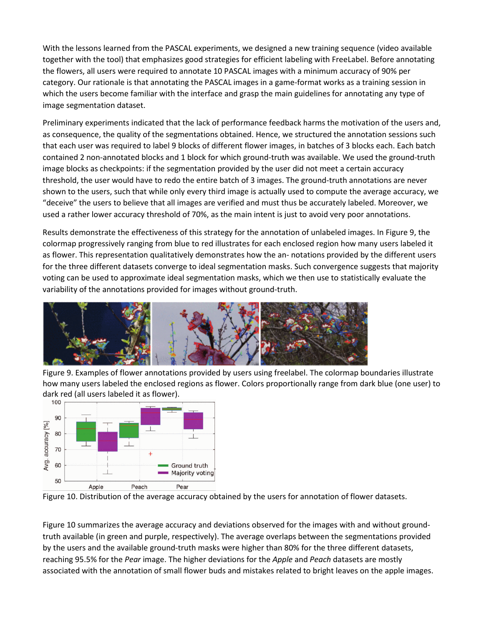With the lessons learned from the PASCAL experiments, we designed a new training sequence (video available together with the tool) that emphasizes good strategies for efficient labeling with FreeLabel. Before annotating the flowers, all users were required to annotate 10 PASCAL images with a minimum accuracy of 90% per category. Our rationale is that annotating the PASCAL images in a game-format works as a training session in which the users become familiar with the interface and grasp the main guidelines for annotating any type of image segmentation dataset.

Preliminary experiments indicated that the lack of performance feedback harms the motivation of the users and, as consequence, the quality of the segmentations obtained. Hence, we structured the annotation sessions such that each user was required to label 9 blocks of different flower images, in batches of 3 blocks each. Each batch contained 2 non-annotated blocks and 1 block for which ground-truth was available. We used the ground-truth image blocks as checkpoints: if the segmentation provided by the user did not meet a certain accuracy threshold, the user would have to redo the entire batch of 3 images. The ground-truth annotations are never shown to the users, such that while only every third image is actually used to compute the average accuracy, we "deceive" the users to believe that all images are verified and must thus be accurately labeled. Moreover, we used a rather lower accuracy threshold of 70%, as the main intent is just to avoid very poor annotations.

Results demonstrate the effectiveness of this strategy for the annotation of unlabeled images. In Figure 9, the colormap progressively ranging from blue to red illustrates for each enclosed region how many users labeled it as flower. This representation qualitatively demonstrates how the an- notations provided by the different users for the three different datasets converge to ideal segmentation masks. Such convergence suggests that majority voting can be used to approximate ideal segmentation masks, which we then use to statistically evaluate the variability of the annotations provided for images without ground-truth.



Figure 9. Examples of flower annotations provided by users using freelabel. The colormap boundaries illustrate how many users labeled the enclosed regions as flower. Colors proportionally range from dark blue (one user) to dark red (all users labeled it as flower).<br>100



Figure 10. Distribution of the average accuracy obtained by the users for annotation of flower datasets.

Figure 10 summarizes the average accuracy and deviations observed for the images with and without groundtruth available (in green and purple, respectively). The average overlaps between the segmentations provided by the users and the available ground-truth masks were higher than 80% for the three different datasets, reaching 95.5% for the *Pear* image. The higher deviations for the *Apple* and *Peach* datasets are mostly associated with the annotation of small flower buds and mistakes related to bright leaves on the apple images.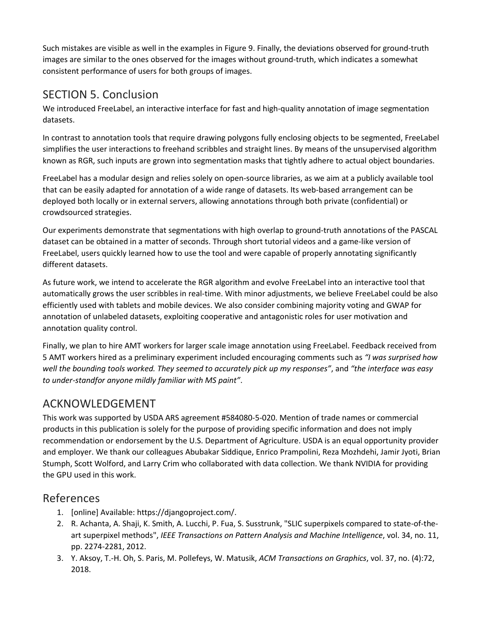Such mistakes are visible as well in the examples in Figure 9. Finally, the deviations observed for ground-truth images are similar to the ones observed for the images without ground-truth, which indicates a somewhat consistent performance of users for both groups of images.

# SECTION 5. Conclusion

We introduced FreeLabel, an interactive interface for fast and high-quality annotation of image segmentation datasets.

In contrast to annotation tools that require drawing polygons fully enclosing objects to be segmented, FreeLabel simplifies the user interactions to freehand scribbles and straight lines. By means of the unsupervised algorithm known as RGR, such inputs are grown into segmentation masks that tightly adhere to actual object boundaries.

FreeLabel has a modular design and relies solely on open-source libraries, as we aim at a publicly available tool that can be easily adapted for annotation of a wide range of datasets. Its web-based arrangement can be deployed both locally or in external servers, allowing annotations through both private (confidential) or crowdsourced strategies.

Our experiments demonstrate that segmentations with high overlap to ground-truth annotations of the PASCAL dataset can be obtained in a matter of seconds. Through short tutorial videos and a game-like version of FreeLabel, users quickly learned how to use the tool and were capable of properly annotating significantly different datasets.

As future work, we intend to accelerate the RGR algorithm and evolve FreeLabel into an interactive tool that automatically grows the user scribbles in real-time. With minor adjustments, we believe FreeLabel could be also efficiently used with tablets and mobile devices. We also consider combining majority voting and GWAP for annotation of unlabeled datasets, exploiting cooperative and antagonistic roles for user motivation and annotation quality control.

Finally, we plan to hire AMT workers for larger scale image annotation using FreeLabel. Feedback received from 5 AMT workers hired as a preliminary experiment included encouraging comments such as *"I was surprised how well the bounding tools worked. They seemed to accurately pick up my responses"*, and *"the interface was easy to under-standfor anyone mildly familiar with MS paint"*.

## ACKNOWLEDGEMENT

This work was supported by USDA ARS agreement #584080-5-020. Mention of trade names or commercial products in this publication is solely for the purpose of providing specific information and does not imply recommendation or endorsement by the U.S. Department of Agriculture. USDA is an equal opportunity provider and employer. We thank our colleagues Abubakar Siddique, Enrico Prampolini, Reza Mozhdehi, Jamir Jyoti, Brian Stumph, Scott Wolford, and Larry Crim who collaborated with data collection. We thank NVIDIA for providing the GPU used in this work.

## References

- 1. [online] Available: https://djangoproject.com/.
- 2. R. Achanta, A. Shaji, K. Smith, A. Lucchi, P. Fua, S. Susstrunk, "SLIC superpixels compared to state-of-theart superpixel methods", *IEEE Transactions on Pattern Analysis and Machine Intelligence*, vol. 34, no. 11, pp. 2274-2281, 2012.
- 3. Y. Aksoy, T.-H. Oh, S. Paris, M. Pollefeys, W. Matusik, *ACM Transactions on Graphics*, vol. 37, no. (4):72, 2018.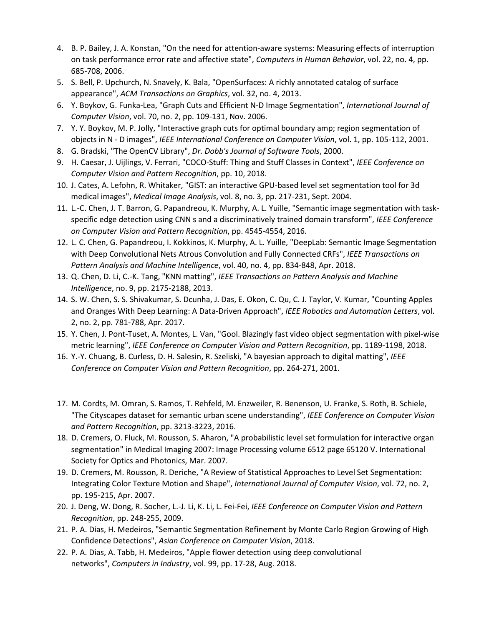- 4. B. P. Bailey, J. A. Konstan, "On the need for attention-aware systems: Measuring effects of interruption on task performance error rate and affective state", *Computers in Human Behavior*, vol. 22, no. 4, pp. 685-708, 2006.
- 5. S. Bell, P. Upchurch, N. Snavely, K. Bala, "OpenSurfaces: A richly annotated catalog of surface appearance", *ACM Transactions on Graphics*, vol. 32, no. 4, 2013.
- 6. Y. Boykov, G. Funka-Lea, "Graph Cuts and Efficient N-D Image Segmentation", *International Journal of Computer Vision*, vol. 70, no. 2, pp. 109-131, Nov. 2006.
- 7. Y. Y. Boykov, M. P. Jolly, "Interactive graph cuts for optimal boundary amp; region segmentation of objects in N - D images", *IEEE International Conference on Computer Vision*, vol. 1, pp. 105-112, 2001.
- 8. G. Bradski, "The OpenCV Library", *Dr. Dobb's Journal of Software Tools*, 2000.
- 9. H. Caesar, J. Uijlings, V. Ferrari, "COCO-Stuff: Thing and Stuff Classes in Context", *IEEE Conference on Computer Vision and Pattern Recognition*, pp. 10, 2018.
- 10. J. Cates, A. Lefohn, R. Whitaker, "GIST: an interactive GPU-based level set segmentation tool for 3d medical images", *Medical Image Analysis*, vol. 8, no. 3, pp. 217-231, Sept. 2004.
- 11. L.-C. Chen, J. T. Barron, G. Papandreou, K. Murphy, A. L. Yuille, "Semantic image segmentation with taskspecific edge detection using CNN s and a discriminatively trained domain transform", *IEEE Conference on Computer Vision and Pattern Recognition*, pp. 4545-4554, 2016.
- 12. L. C. Chen, G. Papandreou, I. Kokkinos, K. Murphy, A. L. Yuille, "DeepLab: Semantic Image Segmentation with Deep Convolutional Nets Atrous Convolution and Fully Connected CRFs", *IEEE Transactions on Pattern Analysis and Machine Intelligence*, vol. 40, no. 4, pp. 834-848, Apr. 2018.
- 13. Q. Chen, D. Li, C.-K. Tang, "KNN matting", *IEEE Transactions on Pattern Analysis and Machine Intelligence*, no. 9, pp. 2175-2188, 2013.
- 14. S. W. Chen, S. S. Shivakumar, S. Dcunha, J. Das, E. Okon, C. Qu, C. J. Taylor, V. Kumar, "Counting Apples and Oranges With Deep Learning: A Data-Driven Approach", *IEEE Robotics and Automation Letters*, vol. 2, no. 2, pp. 781-788, Apr. 2017.
- 15. Y. Chen, J. Pont-Tuset, A. Montes, L. Van, "Gool. Blazingly fast video object segmentation with pixel-wise metric learning", *IEEE Conference on Computer Vision and Pattern Recognition*, pp. 1189-1198, 2018.
- 16. Y.-Y. Chuang, B. Curless, D. H. Salesin, R. Szeliski, "A bayesian approach to digital matting", *IEEE Conference on Computer Vision and Pattern Recognition*, pp. 264-271, 2001.
- 17. M. Cordts, M. Omran, S. Ramos, T. Rehfeld, M. Enzweiler, R. Benenson, U. Franke, S. Roth, B. Schiele, "The Cityscapes dataset for semantic urban scene understanding", *IEEE Conference on Computer Vision and Pattern Recognition*, pp. 3213-3223, 2016.
- 18. D. Cremers, O. Fluck, M. Rousson, S. Aharon, "A probabilistic level set formulation for interactive organ segmentation" in Medical Imaging 2007: Image Processing volume 6512 page 65120 V. International Society for Optics and Photonics, Mar. 2007.
- 19. D. Cremers, M. Rousson, R. Deriche, "A Review of Statistical Approaches to Level Set Segmentation: Integrating Color Texture Motion and Shape", *International Journal of Computer Vision*, vol. 72, no. 2, pp. 195-215, Apr. 2007.
- 20. J. Deng, W. Dong, R. Socher, L.-J. Li, K. Li, L. Fei-Fei, *IEEE Conference on Computer Vision and Pattern Recognition*, pp. 248-255, 2009.
- 21. P. A. Dias, H. Medeiros, "Semantic Segmentation Refinement by Monte Carlo Region Growing of High Confidence Detections", *Asian Conference on Computer Vision*, 2018.
- 22. P. A. Dias, A. Tabb, H. Medeiros, "Apple flower detection using deep convolutional networks", *Computers in Industry*, vol. 99, pp. 17-28, Aug. 2018.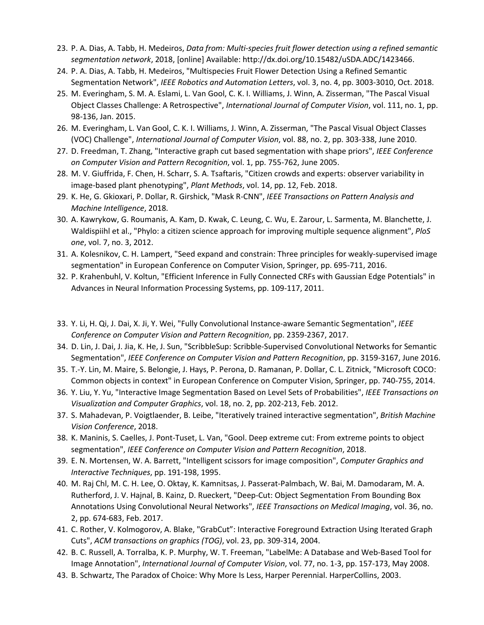- 23. P. A. Dias, A. Tabb, H. Medeiros, *Data from: Multi-species fruit flower detection using a refined semantic segmentation network*, 2018, [online] Available: http://dx.doi.org/10.15482/uSDA.ADC/1423466.
- 24. P. A. Dias, A. Tabb, H. Medeiros, "Multispecies Fruit Flower Detection Using a Refined Semantic Segmentation Network", *IEEE Robotics and Automation Letters*, vol. 3, no. 4, pp. 3003-3010, Oct. 2018.
- 25. M. Everingham, S. M. A. Eslami, L. Van Gool, C. K. I. Williams, J. Winn, A. Zisserman, "The Pascal Visual Object Classes Challenge: A Retrospective", *International Journal of Computer Vision*, vol. 111, no. 1, pp. 98-136, Jan. 2015.
- 26. M. Everingham, L. Van Gool, C. K. I. Williams, J. Winn, A. Zisserman, "The Pascal Visual Object Classes (VOC) Challenge", *International Journal of Computer Vision*, vol. 88, no. 2, pp. 303-338, June 2010.
- 27. D. Freedman, T. Zhang, "Interactive graph cut based segmentation with shape priors", *IEEE Conference on Computer Vision and Pattern Recognition*, vol. 1, pp. 755-762, June 2005.
- 28. M. V. Giuffrida, F. Chen, H. Scharr, S. A. Tsaftaris, "Citizen crowds and experts: observer variability in image-based plant phenotyping", *Plant Methods*, vol. 14, pp. 12, Feb. 2018.
- 29. K. He, G. Gkioxari, P. Dollar, R. Girshick, "Mask R-CNN", *IEEE Transactions on Pattern Analysis and Machine Intelligence*, 2018.
- 30. A. Kawrykow, G. Roumanis, A. Kam, D. Kwak, C. Leung, C. Wu, E. Zarour, L. Sarmenta, M. Blanchette, J. Waldispiihl et al., "Phylo: a citizen science approach for improving multiple sequence alignment", *PloS one*, vol. 7, no. 3, 2012.
- 31. A. Kolesnikov, C. H. Lampert, "Seed expand and constrain: Three principles for weakly-supervised image segmentation" in European Conference on Computer Vision, Springer, pp. 695-711, 2016.
- 32. P. Krahenbuhl, V. Koltun, "Efficient Inference in Fully Connected CRFs with Gaussian Edge Potentials" in Advances in Neural Information Processing Systems, pp. 109-117, 2011.
- 33. Y. Li, H. Qi, J. Dai, X. Ji, Y. Wei, "Fully Convolutional Instance-aware Semantic Segmentation", *IEEE Conference on Computer Vision and Pattern Recognition*, pp. 2359-2367, 2017.
- 34. D. Lin, J. Dai, J. Jia, K. He, J. Sun, "ScribbleSup: Scribble-Supervised Convolutional Networks for Semantic Segmentation", *IEEE Conference on Computer Vision and Pattern Recognition*, pp. 3159-3167, June 2016.
- 35. T.-Y. Lin, M. Maire, S. Belongie, J. Hays, P. Perona, D. Ramanan, P. Dollar, C. L. Zitnick, "Microsoft COCO: Common objects in context" in European Conference on Computer Vision, Springer, pp. 740-755, 2014.
- 36. Y. Liu, Y. Yu, "Interactive Image Segmentation Based on Level Sets of Probabilities", *IEEE Transactions on Visualization and Computer Graphics*, vol. 18, no. 2, pp. 202-213, Feb. 2012.
- 37. S. Mahadevan, P. Voigtlaender, B. Leibe, "Iteratively trained interactive segmentation", *British Machine Vision Conference*, 2018.
- 38. K. Maninis, S. Caelles, J. Pont-Tuset, L. Van, "Gool. Deep extreme cut: From extreme points to object segmentation", *IEEE Conference on Computer Vision and Pattern Recognition*, 2018.
- 39. E. N. Mortensen, W. A. Barrett, "Intelligent scissors for image composition", *Computer Graphics and Interactive Techniques*, pp. 191-198, 1995.
- 40. M. Raj Chl, M. C. H. Lee, O. Oktay, K. Kamnitsas, J. Passerat-Palmbach, W. Bai, M. Damodaram, M. A. Rutherford, J. V. Hajnal, B. Kainz, D. Rueckert, "Deep-Cut: Object Segmentation From Bounding Box Annotations Using Convolutional Neural Networks", *IEEE Transactions on Medical Imaging*, vol. 36, no. 2, pp. 674-683, Feb. 2017.
- 41. C. Rother, V. Kolmogorov, A. Blake, "GrabCut": Interactive Foreground Extraction Using Iterated Graph Cuts", *ACM transactions on graphics (TOG)*, vol. 23, pp. 309-314, 2004.
- 42. B. C. Russell, A. Torralba, K. P. Murphy, W. T. Freeman, "LabelMe: A Database and Web-Based Tool for Image Annotation", *International Journal of Computer Vision*, vol. 77, no. 1-3, pp. 157-173, May 2008.
- 43. B. Schwartz, The Paradox of Choice: Why More Is Less, Harper Perennial. HarperCollins, 2003.